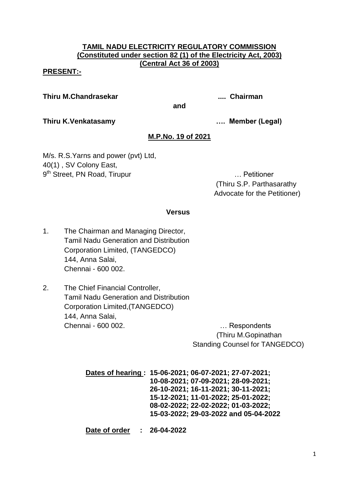# **TAMIL NADU ELECTRICITY REGULATORY COMMISSION (Constituted under section 82 (1) of the Electricity Act, 2003) (Central Act 36 of 2003)**

### **PRESENT:-**

**Thiru M.Chandrasekar .... Chairman**

**and**

**Thiru K.Venkatasamy …. Member (Legal)**

# **M.P.No. 19 of 2021**

M/s. R.S.Yarns and power (pvt) Ltd, 40(1) , SV Colony East, 9<sup>th</sup> Street, PN Road, Tirupur **Engineerial Contract Contract Contract Contract Contract Contract Contract Contract Contract Contract Contract Contract Contract Contract Contract Contract Contract Contract Contract Contrac** 

(Thiru S.P. Parthasarathy Advocate for the Petitioner)

### **Versus**

- 1. The Chairman and Managing Director, Tamil Nadu Generation and Distribution Corporation Limited, (TANGEDCO) 144, Anna Salai, Chennai - 600 002.
- 2. The Chief Financial Controller, Tamil Nadu Generation and Distribution Corporation Limited,(TANGEDCO) 144, Anna Salai, Chennai - 600 002. … Respondents

 (Thiru M.Gopinathan Standing Counsel for TANGEDCO)

**Dates of hearing : 15-06-2021; 06-07-2021; 27-07-2021; 10-08-2021; 07-09-2021; 28-09-2021; 26-10-2021; 16-11-2021; 30-11-2021; 15-12-2021; 11-01-2022; 25-01-2022; 08-02-2022; 22-02-2022; 01-03-2022; 15-03-2022; 29-03-2022 and 05-04-2022**

**Date of order : 26-04-2022**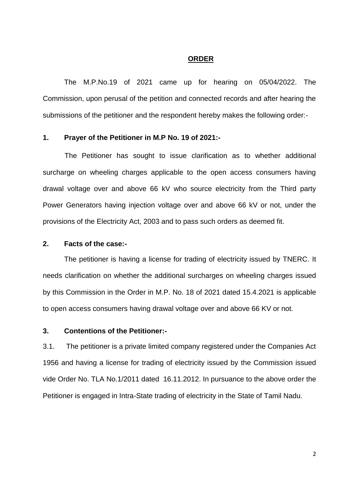#### **ORDER**

The M.P.No.19 of 2021 came up for hearing on 05/04/2022. The Commission, upon perusal of the petition and connected records and after hearing the submissions of the petitioner and the respondent hereby makes the following order:-

#### **1. Prayer of the Petitioner in M.P No. 19 of 2021:-**

 The Petitioner has sought to issue clarification as to whether additional surcharge on wheeling charges applicable to the open access consumers having drawal voltage over and above 66 kV who source electricity from the Third party Power Generators having injection voltage over and above 66 kV or not, under the provisions of the Electricity Act, 2003 and to pass such orders as deemed fit.

### **2. Facts of the case:-**

The petitioner is having a license for trading of electricity issued by TNERC. It needs clarification on whether the additional surcharges on wheeling charges issued by this Commission in the Order in M.P. No. 18 of 2021 dated 15.4.2021 is applicable to open access consumers having drawal voltage over and above 66 KV or not.

## **3. Contentions of the Petitioner:-**

3.1. The petitioner is a private limited company registered under the Companies Act 1956 and having a license for trading of electricity issued by the Commission issued vide Order No. TLA No.1/2011 dated 16.11.2012. In pursuance to the above order the Petitioner is engaged in Intra-State trading of electricity in the State of Tamil Nadu.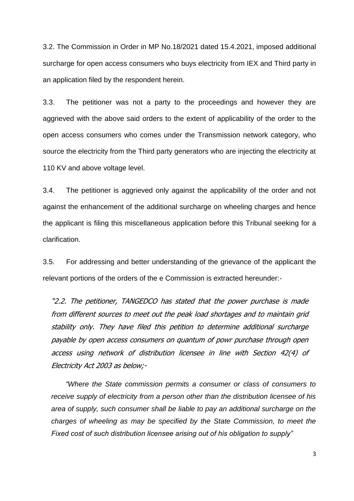3.2. The Commission in Order in MP No.18/2021 dated 15.4.2021, imposed additional surcharge for open access consumers who buys electricity from IEX and Third party in an application filed by the respondent herein.

3.3. The petitioner was not a party to the proceedings and however they are aggrieved with the above said orders to the extent of applicability of the order to the open access consumers who comes under the Transmission network category, who source the electricity from the Third party generators who are injecting the electricity at 110 KV and above voltage level.

3.4. The petitioner is aggrieved only against the applicability of the order and not against the enhancement of the additional surcharge on wheeling charges and hence the applicant is filing this miscellaneous application before this Tribunal seeking for a clarification.

3.5. For addressing and better understanding of the grievance of the applicant the relevant portions of the orders of the e Commission is extracted hereunder:-

"2.2. The petitioner, TANGEDCO has stated that the power purchase is made from different sources to meet out the peak load shortages and to maintain grid stability only. They have filed this petition to determine additional surcharge payable by open access consumers on quantum of powr purchase through open access using network of distribution licensee in line with Section 42(4) of Electricity Act 2003 as below;-

*"Where the State commission permits a consumer or class of consumers to receive supply of electricity from a person other than the distribution licensee of his area of supply, such consumer shall be liable to pay an additional surcharge on the charges of wheeling as may be specified by the State Commission, to meet the Fixed cost of such distribution licensee arising out of his obligation to supply"*

3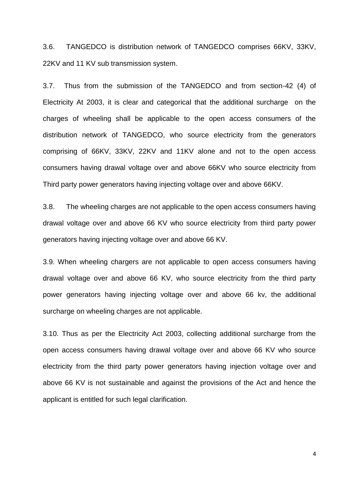3.6. TANGEDCO is distribution network of TANGEDCO comprises 66KV, 33KV, 22KV and 11 KV sub transmission system.

3.7. Thus from the submission of the TANGEDCO and from section-42 (4) of Electricity At 2003, it is clear and categorical that the additional surcharge on the charges of wheeling shall be applicable to the open access consumers of the distribution network of TANGEDCO, who source electricity from the generators comprising of 66KV, 33KV, 22KV and 11KV alone and not to the open access consumers having drawal voltage over and above 66KV who source electricity from Third party power generators having injecting voltage over and above 66KV.

3.8. The wheeling charges are not applicable to the open access consumers having drawal voltage over and above 66 KV who source electricity from third party power generators having injecting voltage over and above 66 KV.

3.9. When wheeling chargers are not applicable to open access consumers having drawal voltage over and above 66 KV, who source electricity from the third party power generators having injecting voltage over and above 66 kv, the additional surcharge on wheeling charges are not applicable.

3.10. Thus as per the Electricity Act 2003, collecting additional surcharge from the open access consumers having drawal voltage over and above 66 KV who source electricity from the third party power generators having injection voltage over and above 66 KV is not sustainable and against the provisions of the Act and hence the applicant is entitled for such legal clarification.

4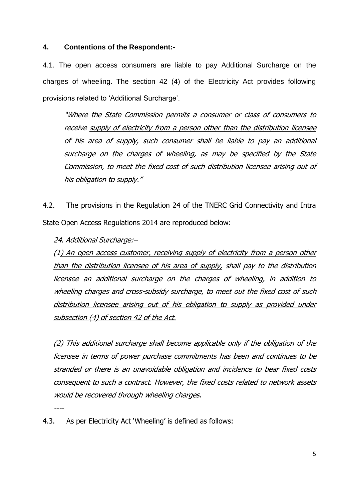### **4. Contentions of the Respondent:-**

4.1. The open access consumers are liable to pay Additional Surcharge on the charges of wheeling. The section 42 (4) of the Electricity Act provides following provisions related to 'Additional Surcharge'.

"Where the State Commission permits a consumer or class of consumers to receive supply of electricity from a person other than the distribution licensee of his area of supply, such consumer shall be liable to pay an additional surcharge on the charges of wheeling, as may be specified by the State Commission, to meet the fixed cost of such distribution licensee arising out of his obligation to supply."

4.2. The provisions in the Regulation 24 of the TNERC Grid Connectivity and Intra State Open Access Regulations 2014 are reproduced below:

24. Additional Surcharge:–

(1) An open access customer, receiving supply of electricity from a person other than the distribution licensee of his area of supply, shall pay to the distribution licensee an additional surcharge on the charges of wheeling, in addition to wheeling charges and cross-subsidy surcharge, to meet out the fixed cost of such distribution licensee arising out of his obligation to supply as provided under subsection (4) of section 42 of the Act.

(2) This additional surcharge shall become applicable only if the obligation of the licensee in terms of power purchase commitments has been and continues to be stranded or there is an unavoidable obligation and incidence to bear fixed costs consequent to such a contract. However, the fixed costs related to network assets would be recovered through wheeling charges.

----

4.3. As per Electricity Act "Wheeling" is defined as follows: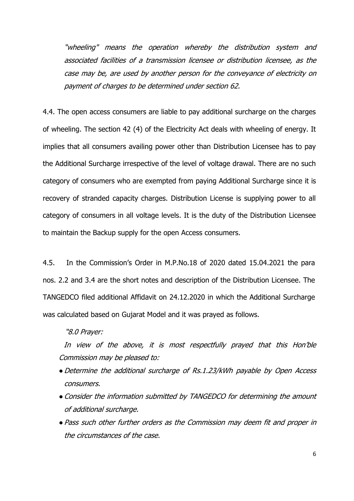"wheeling" means the operation whereby the distribution system and associated facilities of a transmission licensee or distribution licensee, as the case may be, are used by another person for the conveyance of electricity on payment of charges to be determined under section 62.

4.4. The open access consumers are liable to pay additional surcharge on the charges of wheeling. The section 42 (4) of the Electricity Act deals with wheeling of energy. It implies that all consumers availing power other than Distribution Licensee has to pay the Additional Surcharge irrespective of the level of voltage drawal. There are no such category of consumers who are exempted from paying Additional Surcharge since it is recovery of stranded capacity charges. Distribution License is supplying power to all category of consumers in all voltage levels. It is the duty of the Distribution Licensee to maintain the Backup supply for the open Access consumers.

4.5. In the Commission"s Order in M.P.No.18 of 2020 dated 15.04.2021 the para nos. 2.2 and 3.4 are the short notes and description of the Distribution Licensee. The TANGEDCO filed additional Affidavit on 24.12.2020 in which the Additional Surcharge was calculated based on Gujarat Model and it was prayed as follows.

### "8.0 Prayer:

In view of the above, it is most respectfully prayed that this Hon"ble Commission may be pleased to:

- Determine the additional surcharge of Rs.1.23/kWh payable by Open Access consumers.
- Consider the information submitted by TANGEDCO for determining the amount of additional surcharge.
- ●Pass such other further orders as the Commission may deem fit and proper in the circumstances of the case.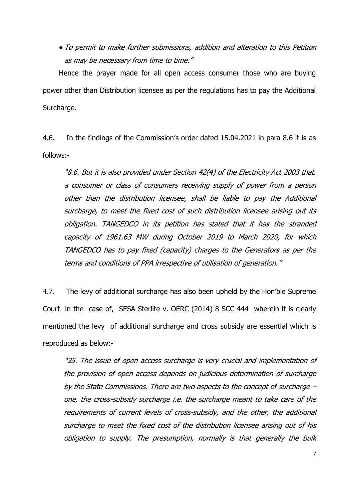●To permit to make further submissions, addition and alteration to this Petition as may be necessary from time to time."

Hence the prayer made for all open access consumer those who are buying power other than Distribution licensee as per the regulations has to pay the Additional Surcharge.

4.6. In the findings of the Commission"s order dated 15.04.2021 in para 8.6 it is as follows:-

"8.6. But it is also provided under Section 42(4) of the Electricity Act 2003 that, a consumer or class of consumers receiving supply of power from a person other than the distribution licensee, shall be liable to pay the Additional surcharge, to meet the fixed cost of such distribution licensee arising out its obligation. TANGEDCO in its petition has stated that it has the stranded capacity of 1961.63 MW during October 2019 to March 2020, for which TANGEDCO has to pay fixed (capacity) charges to the Generators as per the terms and conditions of PPA irrespective of utilisation of generation."

4.7. The levy of additional surcharge has also been upheld by the Hon"ble Supreme Court in the case of, SESA Sterlite v. OERC (2014) 8 SCC 444 wherein it is clearly mentioned the levy of additional surcharge and cross subsidy are essential which is reproduced as below:-

"25. The issue of open access surcharge is very crucial and implementation of the provision of open access depends on judicious determination of surcharge by the State Commissions. There are two aspects to the concept of surcharge – one, the cross-subsidy surcharge i.e. the surcharge meant to take care of the requirements of current levels of cross-subsidy, and the other, the additional surcharge to meet the fixed cost of the distribution licensee arising out of his obligation to supply. The presumption, normally is that generally the bulk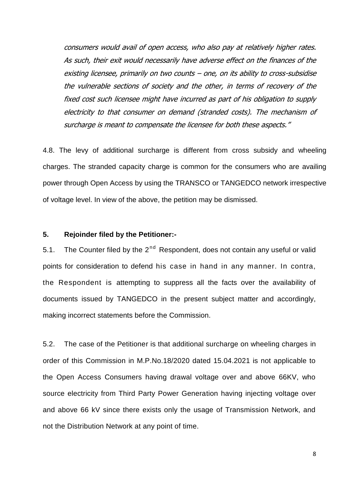consumers would avail of open access, who also pay at relatively higher rates. As such, their exit would necessarily have adverse effect on the finances of the existing licensee, primarily on two counts – one, on its ability to cross-subsidise the vulnerable sections of society and the other, in terms of recovery of the fixed cost such licensee might have incurred as part of his obligation to supply electricity to that consumer on demand (stranded costs). The mechanism of surcharge is meant to compensate the licensee for both these aspects."

4.8. The levy of additional surcharge is different from cross subsidy and wheeling charges. The stranded capacity charge is common for the consumers who are availing power through Open Access by using the TRANSCO or TANGEDCO network irrespective of voltage level. In view of the above, the petition may be dismissed.

## **5. Rejoinder filed by the Petitioner:-**

5.1. The Counter filed by the  $2^{nd}$  Respondent, does not contain any useful or valid points for consideration to defend his case in hand in any manner. In contra, the Respondent is attempting to suppress all the facts over the availability of documents issued by TANGEDCO in the present subject matter and accordingly, making incorrect statements before the Commission.

5.2. The case of the Petitioner is that additional surcharge on wheeling charges in order of this Commission in M.P.No.18/2020 dated 15.04.2021 is not applicable to the Open Access Consumers having drawal voltage over and above 66KV, who source electricity from Third Party Power Generation having injecting voltage over and above 66 kV since there exists only the usage of Transmission Network, and not the Distribution Network at any point of time.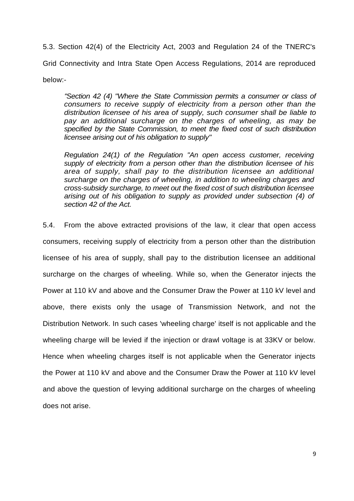5.3. Section 42(4) of the Electricity Act, 2003 and Regulation 24 of the TNERC's Grid Connectivity and Intra State Open Access Regulations, 2014 are reproduced below:-

*"Section 42 (4) "Where the State Commission permits a consumer or class of consumers to receive supply of electricity from a person other than the distribution licensee of his area of supply, such consumer shall be liable to pay an additional surcharge on the charges of wheeling, as may be specified by the State Commission, to meet the fixed cost of such distribution licensee arising out of his obligation to supply"*

*Regulation 24(1) of the Regulation "An open access customer, receiving supply of electricity from a person other than the distribution licensee of his area of supply, shall pay to the distribution licensee an additional surcharge on the charges of wheeling, in addition to wheeling charges and cross-subsidy surcharge, to meet out the fixed cost of such distribution licensee arising out of his obligation to supply as provided under subsection (4) of section 42 of the Act.*

5.4. From the above extracted provisions of the law, it clear that open access consumers, receiving supply of electricity from a person other than the distribution licensee of his area of supply, shall pay to the distribution licensee an additional surcharge on the charges of wheeling. While so, when the Generator injects the Power at 110 kV and above and the Consumer Draw the Power at 110 kV level and above, there exists only the usage of Transmission Network, and not the Distribution Network. In such cases 'wheeling charge' itself is not applicable and the wheeling charge will be levied if the injection or drawl voltage is at 33KV or below. Hence when wheeling charges itself is not applicable when the Generator injects the Power at 110 kV and above and the Consumer Draw the Power at 110 kV level and above the question of levying additional surcharge on the charges of wheeling does not arise.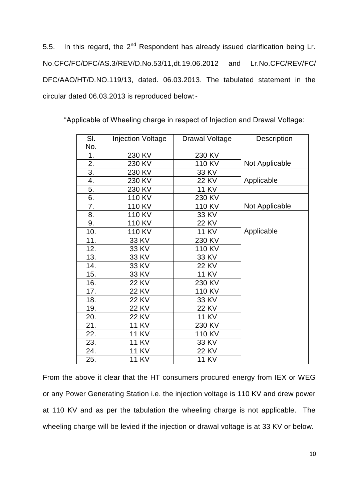5.5. In this regard, the  $2^{nd}$  Respondent has already issued clarification being Lr. No.CFC/FC/DFC/AS.3/REV/D.No.53/11,dt.19.06.2012 and Lr.No.CFC/REV/FC/ DFC/AAO/HT/D.NO.119/13, dated. 06.03.2013. The tabulated statement in the circular dated 06.03.2013 is reproduced below:-

| SI. | <b>Injection Voltage</b> | <b>Drawal Voltage</b> | Description    |
|-----|--------------------------|-----------------------|----------------|
| No. |                          |                       |                |
| 1.  | 230 KV                   | 230 KV                |                |
| 2.  | 230 KV                   | 110 KV                | Not Applicable |
| 3.  | 230 KV                   | 33 KV                 |                |
| 4.  | 230 KV                   | <b>22 KV</b>          | Applicable     |
| 5.  | 230 KV                   | <b>11 KV</b>          |                |
| 6.  | 110 KV                   | 230 KV                |                |
| 7.  | 110 KV                   | 110 KV                | Not Applicable |
| 8.  | 110 KV                   | 33 KV                 |                |
| 9.  | 110 KV                   | <b>22 KV</b>          |                |
| 10. | 110 KV                   | <b>11 KV</b>          | Applicable     |
| 11. | 33 KV                    | 230 KV                |                |
| 12. | 33 KV                    | 110 KV                |                |
| 13. | 33 KV                    | 33 KV                 |                |
| 14. | 33 KV                    | 22 KV                 |                |
| 15. | 33 KV                    | <b>11 KV</b>          |                |
| 16. | 22 KV                    | 230 KV                |                |
| 17. | <b>22 KV</b>             | 110 KV                |                |
| 18. | 22 KV                    | 33 KV                 |                |
| 19. | 22 KV                    | <b>22 KV</b>          |                |
| 20. | <b>22 KV</b>             | <b>11 KV</b>          |                |
| 21. | 11 KV                    | 230 KV                |                |
| 22. | <b>11 KV</b>             | 110 KV                |                |
| 23. | <b>11 KV</b>             | 33 KV                 |                |
| 24. | <b>11 KV</b>             | <b>22 KV</b>          |                |
| 25. | <b>11 KV</b>             | <b>11 KV</b>          |                |

"Applicable of Wheeling charge in respect of Injection and Drawal Voltage:

From the above it clear that the HT consumers procured energy from IEX or WEG or any Power Generating Station i.e. the injection voltage is 110 KV and drew power at 110 KV and as per the tabulation the wheeling charge is not applicable. The wheeling charge will be levied if the injection or drawal voltage is at 33 KV or below.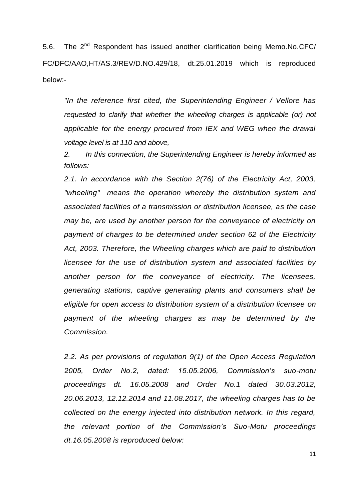5.6. The 2<sup>nd</sup> Respondent has issued another clarification being Memo.No.CFC/ FC/DFC/AAO,HT/AS.3/REV/D.NO.429/18, dt.25.01.2019 which is reproduced below:-

*"In the reference first cited, the Superintending Engineer / Vellore has requested to clarify that whether the wheeling charges is applicable (or) not applicable for the energy procured from IEX and WEG when the drawal voltage level is at 110 and above,*

*2. In this connection, the Superintending Engineer is hereby informed as follows:*

*2.1. In accordance with the Section 2(76) of the Electricity Act, 2003, "wheeling" means the operation whereby the distribution system and associated facilities of a transmission or distribution licensee, as the case may be, are used by another person for the conveyance of electricity on payment of charges to be determined under section 62 of the Electricity Act, 2003. Therefore, the Wheeling charges which are paid to distribution licensee for the use of distribution system and associated facilities by another person for the conveyance of electricity. The licensees, generating stations, captive generating plants and consumers shall be eligible for open access to distribution system of a distribution licensee on payment of the wheeling charges as may be determined by the Commission.*

*2.2. As per provisions of regulation 9(1) of the Open Access Regulation 2005, Order No.2, dated: 15.05.2006, Commission's suo-motu proceedings dt. 16.05.2008 and Order No.1 dated 30.03.2012, 20.06.2013, 12.12.2014 and 11.08.2017, the wheeling charges has to be collected on the energy injected into distribution network. In this regard, the relevant portion of the Commission's Suo-Motu proceedings dt.16.05.2008 is reproduced below:*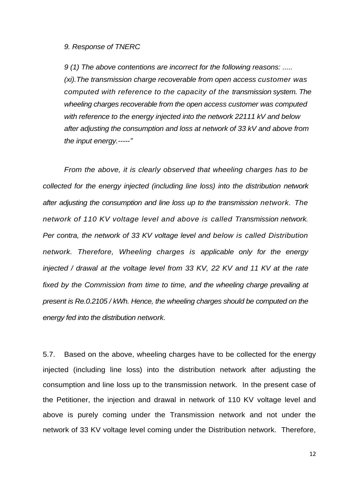#### *9. Response of TNERC*

*9 (1) The above contentions are incorrect for the following reasons: ..... (xi).The transmission charge recoverable from open access customer was computed with reference to the capacity of the transmission system. The wheeling charges recoverable from the open access customer was computed with reference to the energy injected into the network 22111 kV and below after adjusting the consumption and loss at network of 33 kV and above from the input energy.-----"*

*From the above, it is clearly observed that wheeling charges has to be collected for the energy injected (including line loss) into the distribution network after adjusting the consumption and line loss up to the transmission network. The network of 110 KV voltage level and above is called Transmission network. Per contra, the network of 33 KV voltage level and below is called Distribution network. Therefore, Wheeling charges is applicable only for the energy injected / drawal at the voltage level from 33 KV, 22 KV and 11 KV at the rate fixed by the Commission from time to time, and the wheeling charge prevailing at present is Re.0.2105 / kWh. Hence, the wheeling charges should be computed on the energy fed into the distribution network.*

5.7. Based on the above, wheeling charges have to be collected for the energy injected (including line loss) into the distribution network after adjusting the consumption and line loss up to the transmission network. In the present case of the Petitioner, the injection and drawal in network of 110 KV voltage level and above is purely coming under the Transmission network and not under the network of 33 KV voltage level coming under the Distribution network. Therefore,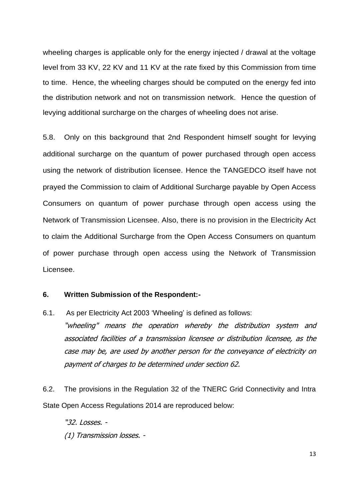wheeling charges is applicable only for the energy injected / drawal at the voltage level from 33 KV, 22 KV and 11 KV at the rate fixed by this Commission from time to time. Hence, the wheeling charges should be computed on the energy fed into the distribution network and not on transmission network. Hence the question of levying additional surcharge on the charges of wheeling does not arise.

5.8. Only on this background that 2nd Respondent himself sought for levying additional surcharge on the quantum of power purchased through open access using the network of distribution licensee. Hence the TANGEDCO itself have not prayed the Commission to claim of Additional Surcharge payable by Open Access Consumers on quantum of power purchase through open access using the Network of Transmission Licensee. Also, there is no provision in the Electricity Act to claim the Additional Surcharge from the Open Access Consumers on quantum of power purchase through open access using the Network of Transmission Licensee.

### **6. Written Submission of the Respondent:-**

6.1. As per Electricity Act 2003 'Wheeling' is defined as follows: "wheeling" means the operation whereby the distribution system and associated facilities of a transmission licensee or distribution licensee, as the case may be, are used by another person for the conveyance of electricity on payment of charges to be determined under section 62.

6.2. The provisions in the Regulation 32 of the TNERC Grid Connectivity and Intra State Open Access Regulations 2014 are reproduced below:

"32. Losses. -

(1) Transmission losses. -

13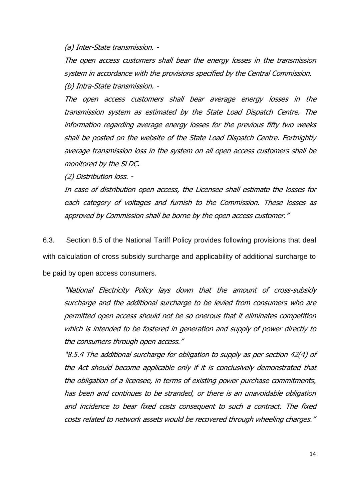(a) Inter-State transmission. -

The open access customers shall bear the energy losses in the transmission system in accordance with the provisions specified by the Central Commission. (b) Intra-State transmission. -

The open access customers shall bear average energy losses in the transmission system as estimated by the State Load Dispatch Centre. The information regarding average energy losses for the previous fifty two weeks shall be posted on the website of the State Load Dispatch Centre. Fortnightly average transmission loss in the system on all open access customers shall be monitored by the SLDC.

(2) Distribution loss. -

In case of distribution open access, the Licensee shall estimate the losses for each category of voltages and furnish to the Commission. These losses as approved by Commission shall be borne by the open access customer."

6.3. Section 8.5 of the National Tariff Policy provides following provisions that deal with calculation of cross subsidy surcharge and applicability of additional surcharge to be paid by open access consumers.

"National Electricity Policy lays down that the amount of cross-subsidy surcharge and the additional surcharge to be levied from consumers who are permitted open access should not be so onerous that it eliminates competition which is intended to be fostered in generation and supply of power directly to the consumers through open access."

"8.5.4 The additional surcharge for obligation to supply as per section 42(4) of the Act should become applicable only if it is conclusively demonstrated that the obligation of a licensee, in terms of existing power purchase commitments, has been and continues to be stranded, or there is an unavoidable obligation and incidence to bear fixed costs consequent to such a contract. The fixed costs related to network assets would be recovered through wheeling charges."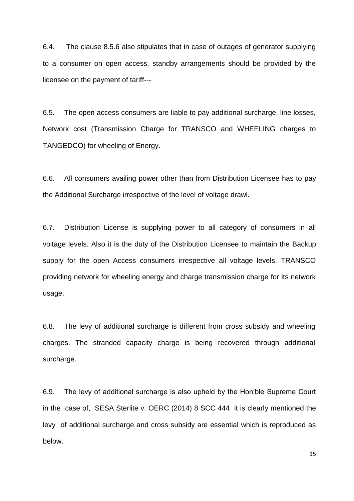6.4. The clause 8.5.6 also stipulates that in case of outages of generator supplying to a consumer on open access, standby arrangements should be provided by the licensee on the payment of tariff---

6.5. The open access consumers are liable to pay additional surcharge, line losses, Network cost (Transmission Charge for TRANSCO and WHEELING charges to TANGEDCO) for wheeling of Energy.

6.6. All consumers availing power other than from Distribution Licensee has to pay the Additional Surcharge irrespective of the level of voltage drawl.

6.7. Distribution License is supplying power to all category of consumers in all voltage levels. Also it is the duty of the Distribution Licensee to maintain the Backup supply for the open Access consumers irrespective all voltage levels. TRANSCO providing network for wheeling energy and charge transmission charge for its network usage.

6.8. The levy of additional surcharge is different from cross subsidy and wheeling charges. The stranded capacity charge is being recovered through additional surcharge.

6.9. The levy of additional surcharge is also upheld by the Hon'ble Supreme Court in the case of, SESA Sterlite v. OERC (2014) 8 SCC 444 it is clearly mentioned the levy of additional surcharge and cross subsidy are essential which is reproduced as below.

15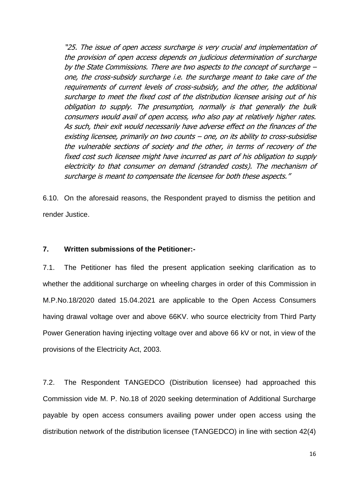"25. The issue of open access surcharge is very crucial and implementation of the provision of open access depends on judicious determination of surcharge by the State Commissions. There are two aspects to the concept of surcharge – one, the cross-subsidy surcharge i.e. the surcharge meant to take care of the requirements of current levels of cross-subsidy, and the other, the additional surcharge to meet the fixed cost of the distribution licensee arising out of his obligation to supply. The presumption, normally is that generally the bulk consumers would avail of open access, who also pay at relatively higher rates. As such, their exit would necessarily have adverse effect on the finances of the existing licensee, primarily on two counts – one, on its ability to cross-subsidise the vulnerable sections of society and the other, in terms of recovery of the fixed cost such licensee might have incurred as part of his obligation to supply electricity to that consumer on demand (stranded costs). The mechanism of surcharge is meant to compensate the licensee for both these aspects."

6.10. On the aforesaid reasons, the Respondent prayed to dismiss the petition and render Justice.

### **7. Written submissions of the Petitioner:-**

7.1. The Petitioner has filed the present application seeking clarification as to whether the additional surcharge on wheeling charges in order of this Commission in M.P.No.18/2020 dated 15.04.2021 are applicable to the Open Access Consumers having drawal voltage over and above 66KV. who source electricity from Third Party Power Generation having injecting voltage over and above 66 kV or not, in view of the provisions of the Electricity Act, 2003.

7.2. The Respondent TANGEDCO (Distribution licensee) had approached this Commission vide M. P. No.18 of 2020 seeking determination of Additional Surcharge payable by open access consumers availing power under open access using the distribution network of the distribution licensee (TANGEDCO) in line with section 42(4)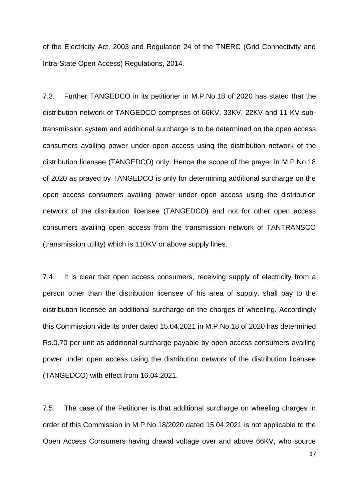of the Electricity Act, 2003 and Regulation 24 of the TNERC (Grid Connectivity and Intra-State Open Access) Regulations, 2014.

7.3. Further TANGEDCO in its petitioner in M.P.No.18 of 2020 has stated that the distribution network of TANGEDCO comprises of 66KV, 33KV, 22KV and 11 KV subtransmission system and additional surcharge is to be determined on the open access consumers availing power under open access using the distribution network of the distribution licensee (TANGEDCO) only. Hence the scope of the prayer in M.P.No.18 of 2020 as prayed by TANGEDCO is only for determining additional surcharge on the open access consumers availing power under open access using the distribution network of the distribution licensee (TANGEDCO) and not for other open access consumers availing open access from the transmission network of TANTRANSCO (transmission utility) which is 110KV or above supply lines.

7.4. It is clear that open access consumers, receiving supply of electricity from a person other than the distribution licensee of his area of supply, shall pay to the distribution licensee an additional surcharge on the charges of wheeling. Accordingly this Commission vide its order dated 15.04.2021 in M.P.No.18 of 2020 has determined Rs.0.70 per unit as additional surcharge payable by open access consumers availing power under open access using the distribution network of the distribution licensee (TANGEDCO) with effect from 16.04.2021.

7.5. The case of the Petitioner is that additional surcharge on wheeling charges in order of this Commission in M.P.No.18/2020 dated 15.04.2021 is not applicable to the Open Access Consumers having drawal voltage over and above 66KV, who source

17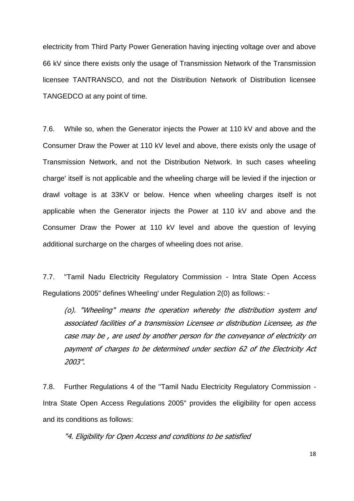electricity from Third Party Power Generation having injecting voltage over and above 66 kV since there exists only the usage of Transmission Network of the Transmission licensee TANTRANSCO, and not the Distribution Network of Distribution licensee TANGEDCO at any point of time.

7.6. While so, when the Generator injects the Power at 110 kV and above and the Consumer Draw the Power at 110 kV level and above, there exists only the usage of Transmission Network, and not the Distribution Network. In such cases wheeling charge' itself is not applicable and the wheeling charge will be levied if the injection or drawl voltage is at 33KV or below. Hence when wheeling charges itself is not applicable when the Generator injects the Power at 110 kV and above and the Consumer Draw the Power at 110 kV level and above the question of levying additional surcharge on the charges of wheeling does not arise.

7.7. "Tamil Nadu Electricity Regulatory Commission - Intra State Open Access Regulations 2005" defines Wheeling' under Regulation 2(0) as follows: -

(o). "Wheeling" means the operation whereby the distribution system and associated facilities of a transmission Licensee or distribution Licensee, as the case may be , are used by another person for the conveyance of electricity on payment of charges to be determined under section 62 of the Electricity Act 2003".

7.8. Further Regulations 4 of the "Tamil Nadu Electricity Regulatory Commission - Intra State Open Access Regulations 2005" provides the eligibility for open access and its conditions as follows:

"4. Eligibility for Open Access and conditions to be satisfied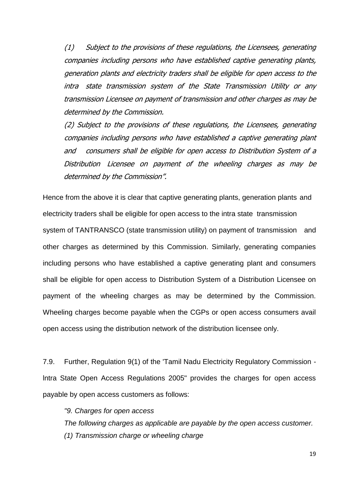(1) Subject to the provisions of these regulations, the Licensees, generating companies including persons who have established captive generating plants, generation plants and electricity traders shall be eligible for open access to the intra state transmission system of the State Transmission Utility or any transmission Licensee on payment of transmission and other charges as may be determined by the Commission.

(2) Subject to the provisions of these regulations, the Licensees, generating companies including persons who have established a captive generating plant and consumers shall be eligible for open access to Distribution System of a Distribution Licensee on payment of the wheeling charges as may be determined by the Commission".

Hence from the above it is clear that captive generating plants, generation plants and electricity traders shall be eligible for open access to the intra state transmission system of TANTRANSCO (state transmission utility) on payment of transmission and other charges as determined by this Commission. Similarly, generating companies including persons who have established a captive generating plant and consumers shall be eligible for open access to Distribution System of a Distribution Licensee on payment of the wheeling charges as may be determined by the Commission. Wheeling charges become payable when the CGPs or open access consumers avail open access using the distribution network of the distribution licensee only.

7.9. Further, Regulation 9(1) of the 'Tamil Nadu Electricity Regulatory Commission lntra State Open Access Regulations 2005" provides the charges for open access payable by open access customers as follows:

*"9. Charges for open access The following charges as applicable are payable by the open access customer. (1) Transmission charge or wheeling charge*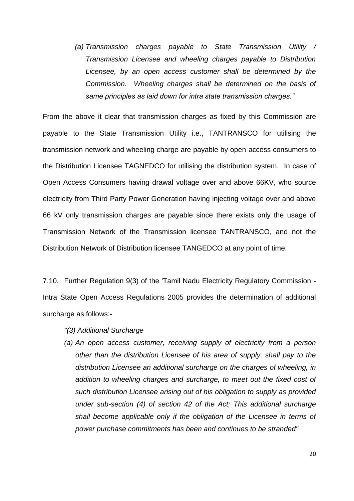*(a) Transmission charges payable to State Transmission Utility / Transmission Licensee and wheeling charges payable to Distribution Licensee, by an open access customer shall be determined by the Commission. Wheeling charges shall be determined on the basis of same principles as laid down for intra state transmission charges."*

From the above it clear that transmission charges as fixed by this Commission are payable to the State Transmission Utility i.e., TANTRANSCO for utilising the transmission network and wheeling charge are payable by open access consumers to the Distribution Licensee TAGNEDCO for utilising the distribution system. In case of Open Access Consumers having drawal voltage over and above 66KV, who source electricity from Third Party Power Generation having injecting voltage over and above 66 kV only transmission charges are payable since there exists only the usage of Transmission Network of the Transmission licensee TANTRANSCO, and not the Distribution Network of Distribution licensee TANGEDCO at any point of time.

7.10. Further Regulation 9(3) of the 'Tamil Nadu Electricity Regulatory Commission - Intra State Open Access Regulations 2005 provides the determination of additional surcharge as follows:-

- *"(3) Additional Surcharge*
- *(a) An open access customer, receiving supply of electricity from a person other than the distribution Licensee of his area of supply, shall pay to the distribution Licensee an additional surcharge on the charges of wheeling, in addition to wheeling charges and surcharge, to meet out the fixed cost of such distribution Licensee arising out of his obligation to supply as provided under sub-section (4) of section 42 of the Act; This additional surcharge shall become applicable only if the obligation of the Licensee in terms of power purchase commitments has been and continues to be stranded"*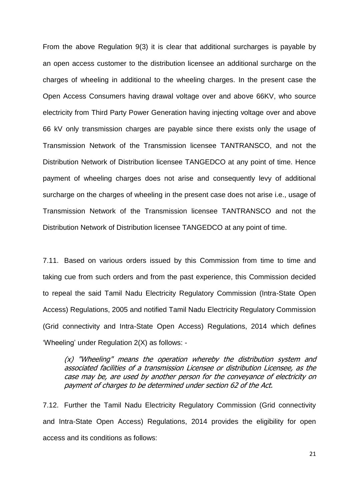From the above Regulation 9(3) it is clear that additional surcharges is payable by an open access customer to the distribution licensee an additional surcharge on the charges of wheeling in additional to the wheeling charges. In the present case the Open Access Consumers having drawal voltage over and above 66KV, who source electricity from Third Party Power Generation having injecting voltage over and above 66 kV only transmission charges are payable since there exists only the usage of Transmission Network of the Transmission licensee TANTRANSCO, and not the Distribution Network of Distribution licensee TANGEDCO at any point of time. Hence payment of wheeling charges does not arise and consequently levy of additional surcharge on the charges of wheeling in the present case does not arise i.e., usage of Transmission Network of the Transmission licensee TANTRANSCO and not the Distribution Network of Distribution licensee TANGEDCO at any point of time.

7.11. Based on various orders issued by this Commission from time to time and taking cue from such orders and from the past experience, this Commission decided to repeal the said Tamil Nadu Electricity Regulatory Commission (Intra-State Open Access) Regulations, 2005 and notified Tamil Nadu Electricity Regulatory Commission (Grid connectivity and Intra-State Open Access) Regulations, 2014 which defines 'Wheeling' under Regulation 2(X) as follows: -

 $(x)$  "Wheeling" means the operation whereby the distribution system and associated facilities of a transmission Licensee or distribution Licensee, as the case may be, are used by another person for the conveyance of electricity on payment of charges to be determined under section 62 of the Act.

7.12. Further the Tamil Nadu Electricity Regulatory Commission (Grid connectivity and Intra-State Open Access) Regulations, 2014 provides the eligibility for open access and its conditions as follows: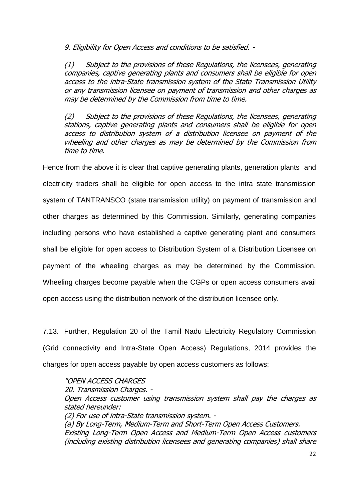9. Eligibility for Open Access and conditions to be satisfied. -

(1) Subject to the provisions of these Regulations, the licensees, generating companies, captive generating plants and consumers shall be eligible for open access to the intra-State transmission system of the State Transmission Utility or any transmission licensee on payment of transmission and other charges as may be determined by the Commission from time to time.

(2) Subject to the provisions of these Regulations, the licensees, generating stations, captive generating plants and consumers shall be eligible for open access to distribution system of a distribution licensee on payment of the wheeling and other charges as may be determined by the Commission from time to time.

Hence from the above it is clear that captive generating plants, generation plants and electricity traders shall be eligible for open access to the intra state transmission system of TANTRANSCO (state transmission utility) on payment of transmission and other charges as determined by this Commission. Similarly, generating companies including persons who have established a captive generating plant and consumers shall be eligible for open access to Distribution System of a Distribution Licensee on payment of the wheeling charges as may be determined by the Commission. Wheeling charges become payable when the CGPs or open access consumers avail open access using the distribution network of the distribution licensee only.

7.13. Further, Regulation 20 of the Tamil Nadu Electricity Regulatory Commission (Grid connectivity and Intra-State Open Access) Regulations, 2014 provides the charges for open access payable by open access customers as follows:

## "OPEN ACCESS CHARGES

20. Transmission Charges. - Open Access customer using transmission system shall pay the charges as stated hereunder: (2) For use of intra-State transmission system. - (a) By Long-Term, Medium-Term and Short-Term Open Access Customers. Existing Long-Term Open Access and Medium-Term Open Access customers (including existing distribution licensees and generating companies) shall share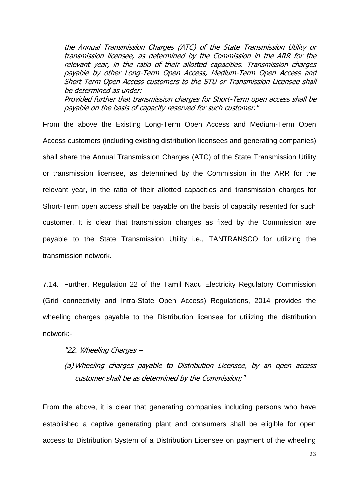the Annual Transmission Charges (ATC) of the State Transmission Utility or transmission licensee, as determined by the Commission in the ARR for the relevant year, in the ratio of their allotted capacities. Transmission charges payable by other Long-Term Open Access, Medium-Term Open Access and Short Term Open Access customers to the STU or Transmission Licensee shall be determined as under:

Provided further that transmission charges for Short-Term open access shall be payable on the basis of capacity reserved for such customer."

From the above the Existing Long-Term Open Access and Medium-Term Open Access customers (including existing distribution licensees and generating companies) shall share the Annual Transmission Charges (ATC) of the State Transmission Utility or transmission licensee, as determined by the Commission in the ARR for the relevant year, in the ratio of their allotted capacities and transmission charges for Short-Term open access shall be payable on the basis of capacity resented for such customer. It is clear that transmission charges as fixed by the Commission are payable to the State Transmission Utility i.e., TANTRANSCO for utilizing the transmission network.

7.14. Further, Regulation 22 of the Tamil Nadu Electricity Regulatory Commission (Grid connectivity and Intra-State Open Access) Regulations, 2014 provides the wheeling charges payable to the Distribution licensee for utilizing the distribution network:-

### "22. Wheeling Charges –

(a) Wheeling charges payable to Distribution Licensee, by an open access customer shall be as determined by the Commission;"

From the above, it is clear that generating companies including persons who have established a captive generating plant and consumers shall be eligible for open access to Distribution System of a Distribution Licensee on payment of the wheeling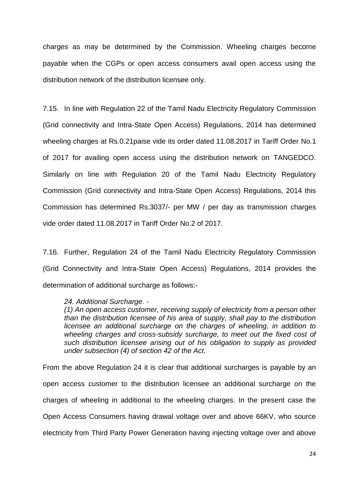charges as may be determined by the Commission. Wheeling charges become payable when the CGPs or open access consumers avail open access using the distribution network of the distribution licensee only.

7.15. In line with Regulation 22 of the Tamil Nadu Electricity Regulatory Commission (Grid connectivity and Intra-State Open Access) Regulations, 2014 has determined wheeling charges at Rs.0.21paise vide its order dated 11.08.2017 in Tariff Order No.1 of 2017 for availing open access using the distribution network on TANGEDCO. Similarly on line with Regulation 20 of the Tamil Nadu Electricity Regulatory Commission (Grid connectivity and Intra-State Open Access) Regulations, 2014 this Commission has determined Rs.3037/- per MW / per day as transmission charges vide order dated 11.08.2017 in Tariff Order No.2 of 2017.

7.16. Further, Regulation 24 of the Tamil Nadu Electricity Regulatory Commission (Grid Connectivity and Intra-State Open Access) Regulations, 2014 provides the determination of additional surcharge as follows:-

#### *24. Additional Surcharge. -*

*(1) An open access customer, receiving supply of electricity from a person other than the distribution licensee of his area of supply, shall pay to the distribution licensee an additional surcharge on the charges of wheeling, in addition to wheeling charges and cross-subsidy surcharge, to meet out the fixed cost of such distribution licensee arising out of his obligation to supply as provided under subsection (4) of section 42 of the Act.*

From the above Regulation 24 it is clear that additional surcharges is payable by an open access customer to the distribution licensee an additional surcharge on the charges of wheeling in additional to the wheeling charges. In the present case the Open Access Consumers having drawal voltage over and above 66KV, who source electricity from Third Party Power Generation having injecting voltage over and above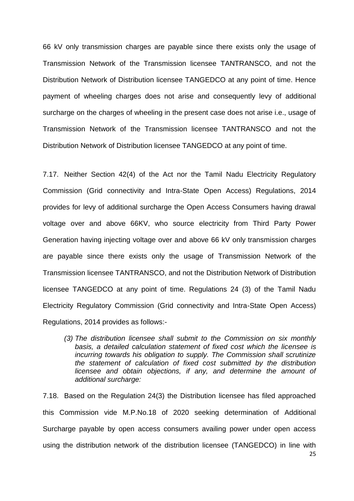66 kV only transmission charges are payable since there exists only the usage of Transmission Network of the Transmission licensee TANTRANSCO, and not the Distribution Network of Distribution licensee TANGEDCO at any point of time. Hence payment of wheeling charges does not arise and consequently levy of additional surcharge on the charges of wheeling in the present case does not arise i.e., usage of Transmission Network of the Transmission licensee TANTRANSCO and not the Distribution Network of Distribution licensee TANGEDCO at any point of time.

7.17. Neither Section 42(4) of the Act nor the Tamil Nadu Electricity Regulatory Commission (Grid connectivity and Intra-State Open Access) Regulations, 2014 provides for levy of additional surcharge the Open Access Consumers having drawal voltage over and above 66KV, who source electricity from Third Party Power Generation having injecting voltage over and above 66 kV only transmission charges are payable since there exists only the usage of Transmission Network of the Transmission licensee TANTRANSCO, and not the Distribution Network of Distribution licensee TANGEDCO at any point of time. Regulations 24 (3) of the Tamil Nadu Electricity Regulatory Commission (Grid connectivity and Intra-State Open Access) Regulations, 2014 provides as follows:-

*(3) The distribution licensee shall submit to the Commission on six monthly basis, a detailed calculation statement of fixed cost which the licensee is incurring towards his obligation to supply. The Commission shall scrutinize the statement of calculation of fixed cost submitted by the distribution licensee and obtain objections, if any, and determine the amount of additional surcharge:*

25 7.18. Based on the Regulation 24(3) the Distribution licensee has filed approached this Commission vide M.P.No.18 of 2020 seeking determination of Additional Surcharge payable by open access consumers availing power under open access using the distribution network of the distribution licensee (TANGEDCO) in line with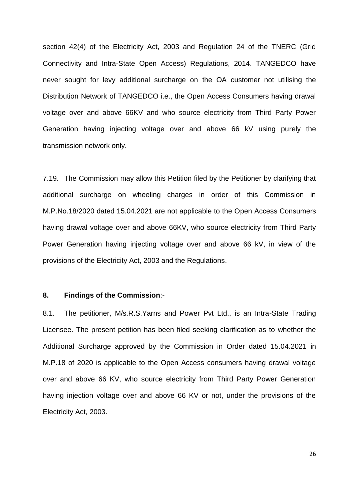section 42(4) of the Electricity Act, 2003 and Regulation 24 of the TNERC (Grid Connectivity and Intra-State Open Access) Regulations, 2014. TANGEDCO have never sought for levy additional surcharge on the OA customer not utilising the Distribution Network of TANGEDCO i.e., the Open Access Consumers having drawal voltage over and above 66KV and who source electricity from Third Party Power Generation having injecting voltage over and above 66 kV using purely the transmission network only.

7.19. The Commission may allow this Petition filed by the Petitioner by clarifying that additional surcharge on wheeling charges in order of this Commission in M.P.No.18/2020 dated 15.04.2021 are not applicable to the Open Access Consumers having drawal voltage over and above 66KV, who source electricity from Third Party Power Generation having injecting voltage over and above 66 kV, in view of the provisions of the Electricity Act, 2003 and the Regulations.

#### **8. Findings of the Commission**:-

8.1. The petitioner, M/s.R.S.Yarns and Power Pvt Ltd., is an Intra-State Trading Licensee. The present petition has been filed seeking clarification as to whether the Additional Surcharge approved by the Commission in Order dated 15.04.2021 in M.P.18 of 2020 is applicable to the Open Access consumers having drawal voltage over and above 66 KV, who source electricity from Third Party Power Generation having injection voltage over and above 66 KV or not, under the provisions of the Electricity Act, 2003.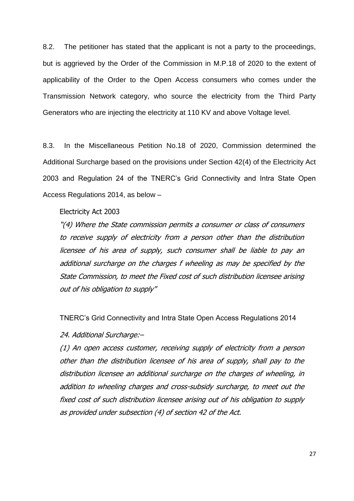8.2. The petitioner has stated that the applicant is not a party to the proceedings, but is aggrieved by the Order of the Commission in M.P.18 of 2020 to the extent of applicability of the Order to the Open Access consumers who comes under the Transmission Network category, who source the electricity from the Third Party Generators who are injecting the electricity at 110 KV and above Voltage level.

8.3. In the Miscellaneous Petition No.18 of 2020, Commission determined the Additional Surcharge based on the provisions under Section 42(4) of the Electricity Act 2003 and Regulation 24 of the TNERC's Grid Connectivity and Intra State Open Access Regulations 2014, as below –

### Electricity Act 2003

"(4) Where the State commission permits a consumer or class of consumers to receive supply of electricity from a person other than the distribution licensee of his area of supply, such consumer shall be liable to pay an additional surcharge on the charges f wheeling as may be specified by the State Commission, to meet the Fixed cost of such distribution licensee arising out of his obligation to supply"

TNERC's Grid Connectivity and Intra State Open Access Regulations 2014

24. Additional Surcharge:–

(1) An open access customer, receiving supply of electricity from a person other than the distribution licensee of his area of supply, shall pay to the distribution licensee an additional surcharge on the charges of wheeling, in addition to wheeling charges and cross-subsidy surcharge, to meet out the fixed cost of such distribution licensee arising out of his obligation to supply as provided under subsection (4) of section 42 of the Act.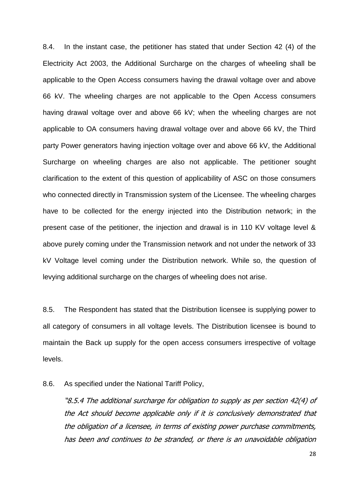8.4. In the instant case, the petitioner has stated that under Section 42 (4) of the Electricity Act 2003, the Additional Surcharge on the charges of wheeling shall be applicable to the Open Access consumers having the drawal voltage over and above 66 kV. The wheeling charges are not applicable to the Open Access consumers having drawal voltage over and above 66 kV; when the wheeling charges are not applicable to OA consumers having drawal voltage over and above 66 kV, the Third party Power generators having injection voltage over and above 66 kV, the Additional Surcharge on wheeling charges are also not applicable. The petitioner sought clarification to the extent of this question of applicability of ASC on those consumers who connected directly in Transmission system of the Licensee. The wheeling charges have to be collected for the energy injected into the Distribution network; in the present case of the petitioner, the injection and drawal is in 110 KV voltage level & above purely coming under the Transmission network and not under the network of 33 kV Voltage level coming under the Distribution network. While so, the question of levying additional surcharge on the charges of wheeling does not arise.

8.5. The Respondent has stated that the Distribution licensee is supplying power to all category of consumers in all voltage levels. The Distribution licensee is bound to maintain the Back up supply for the open access consumers irrespective of voltage levels.

8.6. As specified under the National Tariff Policy,

"8.5.4 The additional surcharge for obligation to supply as per section 42(4) of the Act should become applicable only if it is conclusively demonstrated that the obligation of a licensee, in terms of existing power purchase commitments, has been and continues to be stranded, or there is an unavoidable obligation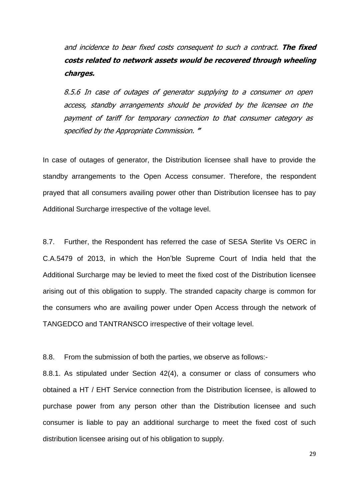and incidence to bear fixed costs consequent to such a contract. **The fixed costs related to network assets would be recovered through wheeling charges.**

8.5.6 In case of outages of generator supplying to a consumer on open access, standby arrangements should be provided by the licensee on the payment of tariff for temporary connection to that consumer category as specified by the Appropriate Commission. **"**

In case of outages of generator, the Distribution licensee shall have to provide the standby arrangements to the Open Access consumer. Therefore, the respondent prayed that all consumers availing power other than Distribution licensee has to pay Additional Surcharge irrespective of the voltage level.

8.7. Further, the Respondent has referred the case of SESA Sterlite Vs OERC in C.A.5479 of 2013, in which the Hon'ble Supreme Court of India held that the Additional Surcharge may be levied to meet the fixed cost of the Distribution licensee arising out of this obligation to supply. The stranded capacity charge is common for the consumers who are availing power under Open Access through the network of TANGEDCO and TANTRANSCO irrespective of their voltage level.

8.8. From the submission of both the parties, we observe as follows:-

8.8.1. As stipulated under Section 42(4), a consumer or class of consumers who obtained a HT / EHT Service connection from the Distribution licensee, is allowed to purchase power from any person other than the Distribution licensee and such consumer is liable to pay an additional surcharge to meet the fixed cost of such distribution licensee arising out of his obligation to supply.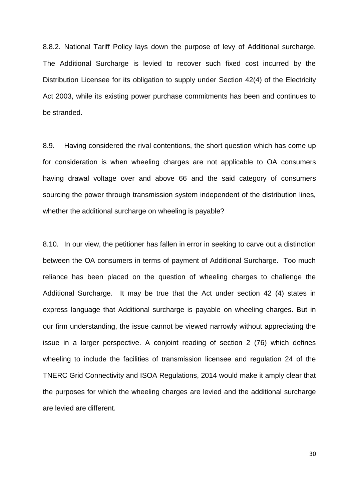8.8.2. National Tariff Policy lays down the purpose of levy of Additional surcharge. The Additional Surcharge is levied to recover such fixed cost incurred by the Distribution Licensee for its obligation to supply under Section 42(4) of the Electricity Act 2003, while its existing power purchase commitments has been and continues to be stranded.

8.9. Having considered the rival contentions, the short question which has come up for consideration is when wheeling charges are not applicable to OA consumers having drawal voltage over and above 66 and the said category of consumers sourcing the power through transmission system independent of the distribution lines, whether the additional surcharge on wheeling is payable?

8.10. In our view, the petitioner has fallen in error in seeking to carve out a distinction between the OA consumers in terms of payment of Additional Surcharge. Too much reliance has been placed on the question of wheeling charges to challenge the Additional Surcharge. It may be true that the Act under section 42 (4) states in express language that Additional surcharge is payable on wheeling charges. But in our firm understanding, the issue cannot be viewed narrowly without appreciating the issue in a larger perspective. A conjoint reading of section 2 (76) which defines wheeling to include the facilities of transmission licensee and regulation 24 of the TNERC Grid Connectivity and ISOA Regulations, 2014 would make it amply clear that the purposes for which the wheeling charges are levied and the additional surcharge are levied are different.

30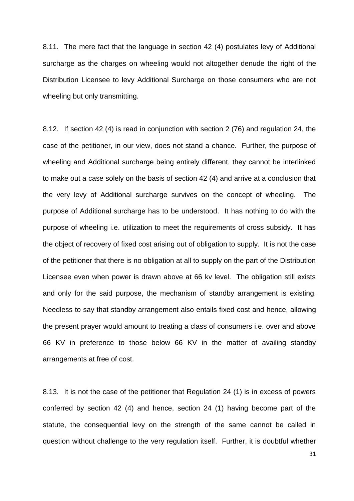8.11. The mere fact that the language in section 42 (4) postulates levy of Additional surcharge as the charges on wheeling would not altogether denude the right of the Distribution Licensee to levy Additional Surcharge on those consumers who are not wheeling but only transmitting.

8.12. If section 42 (4) is read in conjunction with section 2 (76) and regulation 24, the case of the petitioner, in our view, does not stand a chance. Further, the purpose of wheeling and Additional surcharge being entirely different, they cannot be interlinked to make out a case solely on the basis of section 42 (4) and arrive at a conclusion that the very levy of Additional surcharge survives on the concept of wheeling. The purpose of Additional surcharge has to be understood. It has nothing to do with the purpose of wheeling i.e. utilization to meet the requirements of cross subsidy. It has the object of recovery of fixed cost arising out of obligation to supply. It is not the case of the petitioner that there is no obligation at all to supply on the part of the Distribution Licensee even when power is drawn above at 66 kv level. The obligation still exists and only for the said purpose, the mechanism of standby arrangement is existing. Needless to say that standby arrangement also entails fixed cost and hence, allowing the present prayer would amount to treating a class of consumers i.e. over and above 66 KV in preference to those below 66 KV in the matter of availing standby arrangements at free of cost.

8.13. It is not the case of the petitioner that Regulation 24 (1) is in excess of powers conferred by section 42 (4) and hence, section 24 (1) having become part of the statute, the consequential levy on the strength of the same cannot be called in question without challenge to the very regulation itself. Further, it is doubtful whether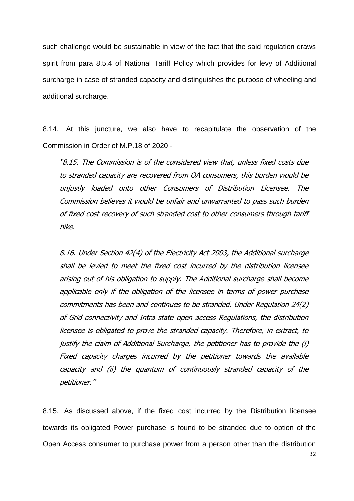such challenge would be sustainable in view of the fact that the said regulation draws spirit from para 8.5.4 of National Tariff Policy which provides for levy of Additional surcharge in case of stranded capacity and distinguishes the purpose of wheeling and additional surcharge.

8.14. At this juncture, we also have to recapitulate the observation of the Commission in Order of M.P.18 of 2020 -

"8.15. The Commission is of the considered view that, unless fixed costs due to stranded capacity are recovered from OA consumers, this burden would be unjustly loaded onto other Consumers of Distribution Licensee. The Commission believes it would be unfair and unwarranted to pass such burden of fixed cost recovery of such stranded cost to other consumers through tariff hike.

8.16. Under Section 42(4) of the Electricity Act 2003, the Additional surcharge shall be levied to meet the fixed cost incurred by the distribution licensee arising out of his obligation to supply. The Additional surcharge shall become applicable only if the obligation of the licensee in terms of power purchase commitments has been and continues to be stranded. Under Regulation 24(2) of Grid connectivity and Intra state open access Regulations, the distribution licensee is obligated to prove the stranded capacity. Therefore, in extract, to justify the claim of Additional Surcharge, the petitioner has to provide the (i) Fixed capacity charges incurred by the petitioner towards the available capacity and (ii) the quantum of continuously stranded capacity of the petitioner."

8.15. As discussed above, if the fixed cost incurred by the Distribution licensee towards its obligated Power purchase is found to be stranded due to option of the Open Access consumer to purchase power from a person other than the distribution